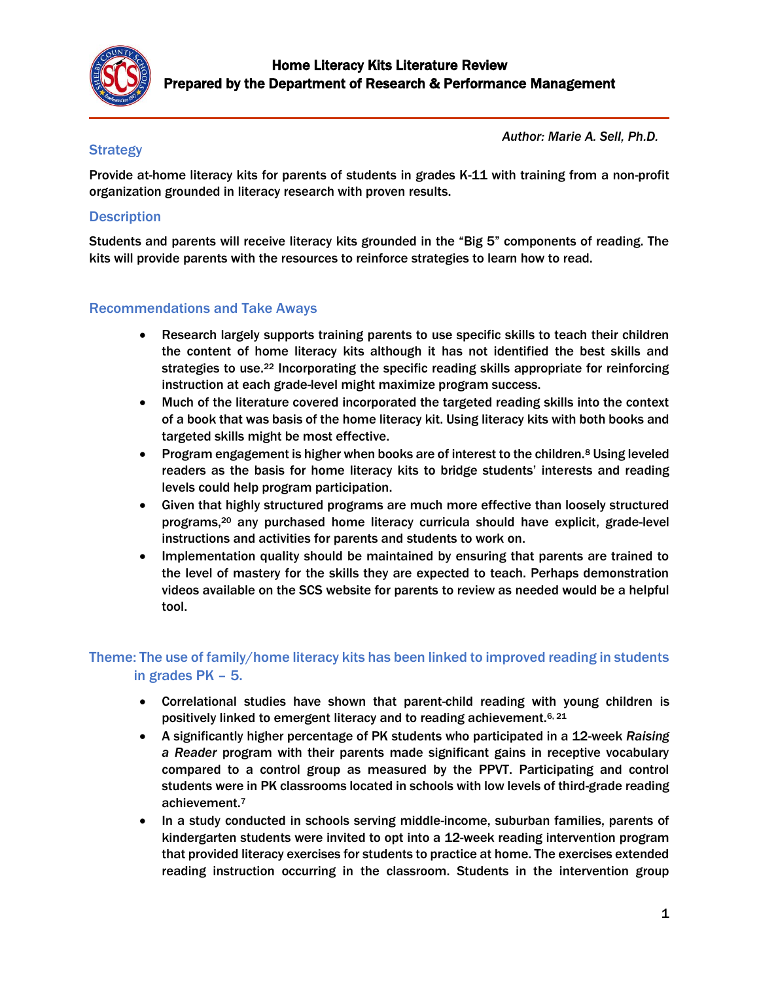

#### *Author: Marie A. Sell, Ph.D.*

### **Strategy**

Provide at-home literacy kits for parents of students in grades K-11 with training from a non-profit organization grounded in literacy research with proven results.

### **Description**

Students and parents will receive literacy kits grounded in the "Big 5" components of reading. The kits will provide parents with the resources to reinforce strategies to learn how to read.

#### Recommendations and Take Aways

- Research largely supports training parents to use specific skills to teach their children the content of home literacy kits although it has not identified the best skills and strategies to use.<sup>22</sup> Incorporating the specific reading skills appropriate for reinforcing instruction at each grade-level might maximize program success.
- Much of the literature covered incorporated the targeted reading skills into the context of a book that was basis of the home literacy kit. Using literacy kits with both books and targeted skills might be most effective.
- Program engagement is higher when books are of interest to the children.<sup>8</sup> Using leveled readers as the basis for home literacy kits to bridge students' interests and reading levels could help program participation.
- Given that highly structured programs are much more effective than loosely structured programs,<sup>20</sup> any purchased home literacy curricula should have explicit, grade-level instructions and activities for parents and students to work on.
- Implementation quality should be maintained by ensuring that parents are trained to the level of mastery for the skills they are expected to teach. Perhaps demonstration videos available on the SCS website for parents to review as needed would be a helpful tool.

# Theme: The use of family/home literacy kits has been linked to improved reading in students in grades PK – 5.

- Correlational studies have shown that parent-child reading with young children is positively linked to emergent literacy and to reading achievement.6, 21
- A significantly higher percentage of PK students who participated in a 12-week *Raising a Reader* program with their parents made significant gains in receptive vocabulary compared to a control group as measured by the PPVT. Participating and control students were in PK classrooms located in schools with low levels of third-grade reading achievement.<sup>7</sup>
- In a study conducted in schools serving middle-income, suburban families, parents of kindergarten students were invited to opt into a 12-week reading intervention program that provided literacy exercises for students to practice at home. The exercises extended reading instruction occurring in the classroom. Students in the intervention group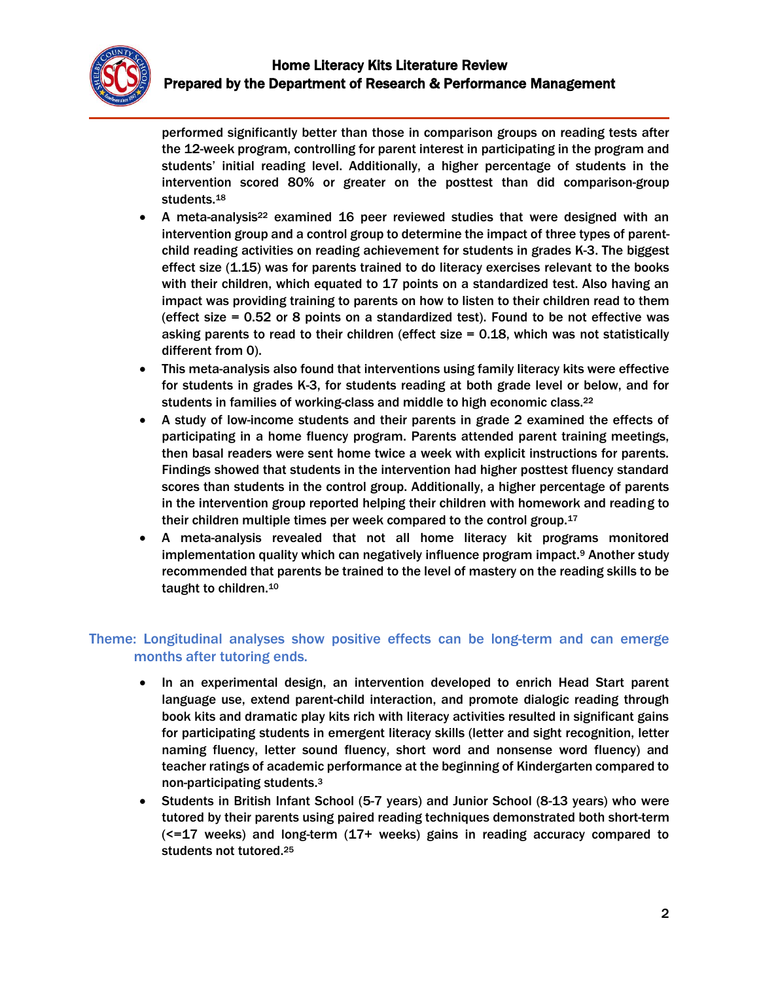

performed significantly better than those in comparison groups on reading tests after the 12-week program, controlling for parent interest in participating in the program and students' initial reading level. Additionally, a higher percentage of students in the intervention scored 80% or greater on the posttest than did comparison-group students.<sup>18</sup>

- A meta-analysis<sup>22</sup> examined 16 peer reviewed studies that were designed with an intervention group and a control group to determine the impact of three types of parentchild reading activities on reading achievement for students in grades K-3. The biggest effect size (1.15) was for parents trained to do literacy exercises relevant to the books with their children, which equated to 17 points on a standardized test. Also having an impact was providing training to parents on how to listen to their children read to them (effect size = 0.52 or 8 points on a standardized test). Found to be not effective was asking parents to read to their children (effect size = 0.18, which was not statistically different from 0).
- This meta-analysis also found that interventions using family literacy kits were effective for students in grades K-3, for students reading at both grade level or below, and for students in families of working-class and middle to high economic class.<sup>22</sup>
- A study of low-income students and their parents in grade 2 examined the effects of participating in a home fluency program. Parents attended parent training meetings, then basal readers were sent home twice a week with explicit instructions for parents. Findings showed that students in the intervention had higher posttest fluency standard scores than students in the control group. Additionally, a higher percentage of parents in the intervention group reported helping their children with homework and reading to their children multiple times per week compared to the control group.<sup>17</sup>
- A meta-analysis revealed that not all home literacy kit programs monitored implementation quality which can negatively influence program impact.<sup>9</sup> Another study recommended that parents be trained to the level of mastery on the reading skills to be taught to children.<sup>10</sup>

## Theme: Longitudinal analyses show positive effects can be long-term and can emerge months after tutoring ends.

- In an experimental design, an intervention developed to enrich Head Start parent language use, extend parent-child interaction, and promote dialogic reading through book kits and dramatic play kits rich with literacy activities resulted in significant gains for participating students in emergent literacy skills (letter and sight recognition, letter naming fluency, letter sound fluency, short word and nonsense word fluency) and teacher ratings of academic performance at the beginning of Kindergarten compared to non-participating students. 3
- Students in British Infant School (5-7 years) and Junior School (8-13 years) who were tutored by their parents using paired reading techniques demonstrated both short-term  $\epsilon$  =17 weeks) and long-term  $(17+)$  weeks) gains in reading accuracy compared to students not tutored.25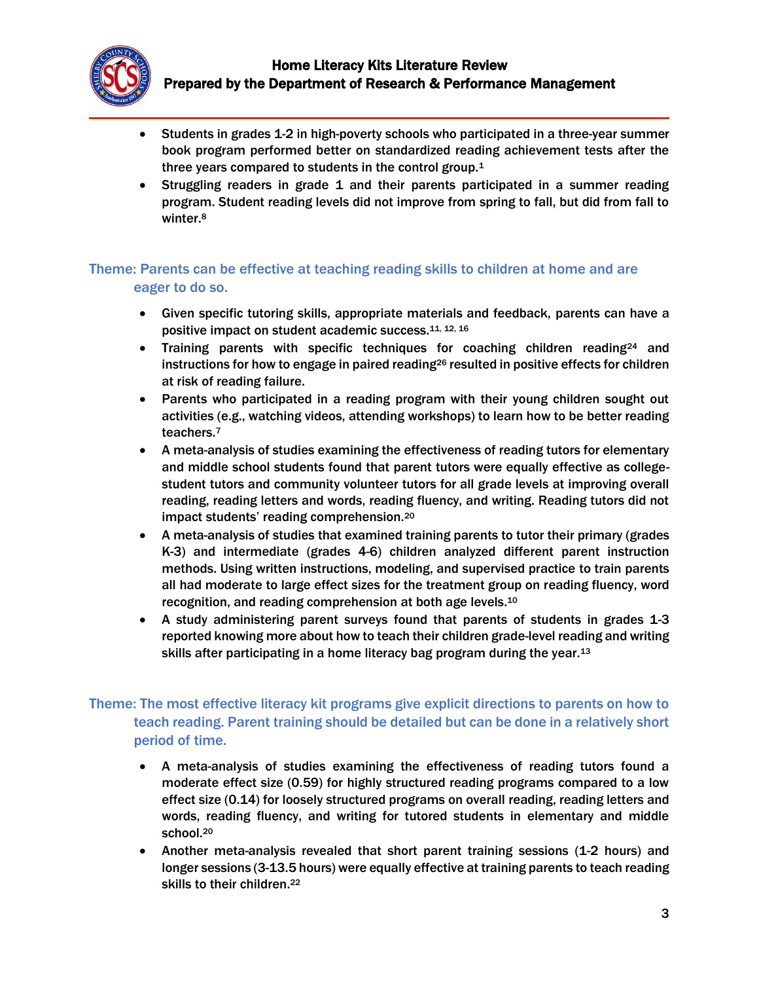

- Students in grades 1-2 in high-poverty schools who participated in a three-year summer book program performed better on standardized reading achievement tests after the three years compared to students in the control group.<sup>1</sup>
- Struggling readers in grade 1 and their parents participated in a summer reading program. Student reading levels did not improve from spring to fall, but did from fall to winter.<sup>8</sup>

## Theme: Parents can be effective at teaching reading skills to children at home and are eager to do so.

- Given specific tutoring skills, appropriate materials and feedback, parents can have a positive impact on student academic success.11, 12, 16
- Training parents with specific techniques for coaching children reading<sup>24</sup> and instructions for how to engage in paired reading<sup>26</sup> resulted in positive effects for children at risk of reading failure.
- Parents who participated in a reading program with their young children sought out activities (e.g., watching videos, attending workshops) to learn how to be better reading teachers.<sup>7</sup>
- A meta-analysis of studies examining the effectiveness of reading tutors for elementary and middle school students found that parent tutors were equally effective as collegestudent tutors and community volunteer tutors for all grade levels at improving overall reading, reading letters and words, reading fluency, and writing. Reading tutors did not impact students' reading comprehension.<sup>20</sup>
- A meta-analysis of studies that examined training parents to tutor their primary (grades K-3) and intermediate (grades 4-6) children analyzed different parent instruction methods. Using written instructions, modeling, and supervised practice to train parents all had moderate to large effect sizes for the treatment group on reading fluency, word recognition, and reading comprehension at both age levels.<sup>10</sup>
- A study administering parent surveys found that parents of students in grades 1-3 reported knowing more about how to teach their children grade-level reading and writing skills after participating in a home literacy bag program during the year.<sup>13</sup>

## Theme: The most effective literacy kit programs give explicit directions to parents on how to teach reading. Parent training should be detailed but can be done in a relatively short period of time.

- A meta-analysis of studies examining the effectiveness of reading tutors found a moderate effect size (0.59) for highly structured reading programs compared to a low effect size (0.14) for loosely structured programs on overall reading, reading letters and words, reading fluency, and writing for tutored students in elementary and middle school.<sup>20</sup>
- Another meta-analysis revealed that short parent training sessions (1-2 hours) and longer sessions (3-13.5 hours) were equally effective at training parents to teach reading skills to their children.<sup>22</sup>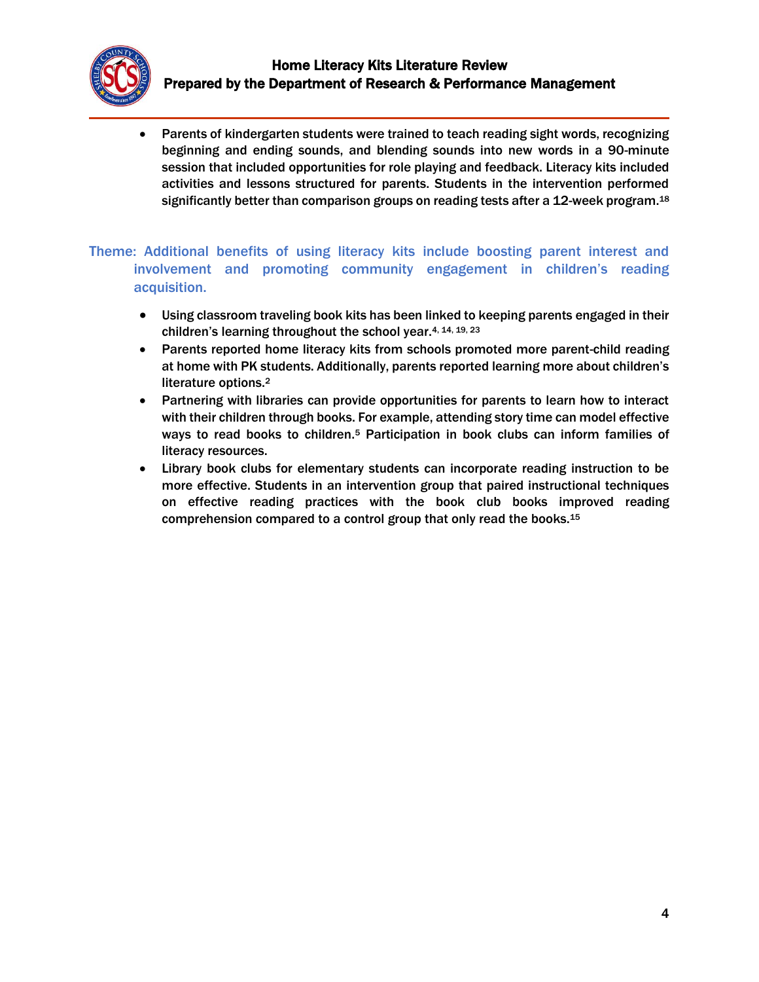

• Parents of kindergarten students were trained to teach reading sight words, recognizing beginning and ending sounds, and blending sounds into new words in a 90-minute session that included opportunities for role playing and feedback. Literacy kits included activities and lessons structured for parents. Students in the intervention performed significantly better than comparison groups on reading tests after a 12-week program.<sup>18</sup>

Theme: Additional benefits of using literacy kits include boosting parent interest and involvement and promoting community engagement in children's reading acquisition.

- Using classroom traveling book kits has been linked to keeping parents engaged in their children's learning throughout the school year.4, 14, 19, 23
- Parents reported home literacy kits from schools promoted more parent-child reading at home with PK students. Additionally, parents reported learning more about children's literature options.<sup>2</sup>
- Partnering with libraries can provide opportunities for parents to learn how to interact with their children through books. For example, attending story time can model effective ways to read books to children.<sup>5</sup> Participation in book clubs can inform families of literacy resources.
- Library book clubs for elementary students can incorporate reading instruction to be more effective. Students in an intervention group that paired instructional techniques on effective reading practices with the book club books improved reading comprehension compared to a control group that only read the books.15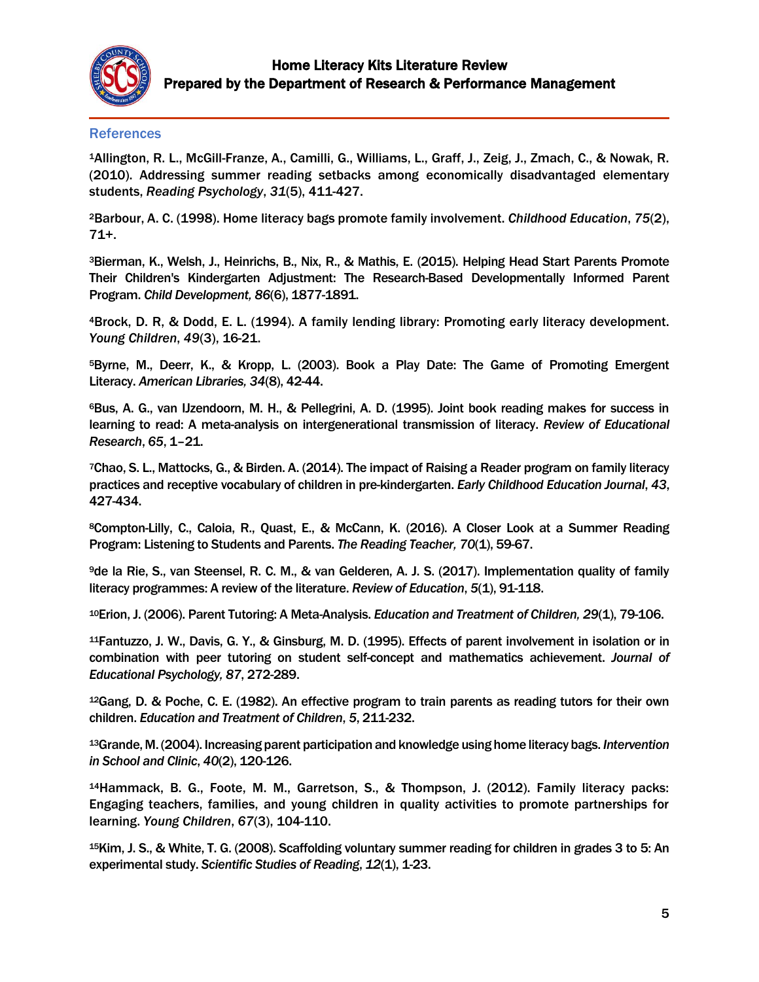

#### **References**

<sup>1</sup>Allington, R. L., McGill-Franze, A., Camilli, G., Williams, L., Graff, J., Zeig, J., Zmach, C., & Nowak, R. (2010). Addressing summer reading setbacks among economically disadvantaged elementary students, *Reading Psychology*, *31*(5), 411-427.

<sup>2</sup>Barbour, A. C. (1998). Home literacy bags promote family involvement. *Childhood Education*, *75*(2), 71+.

<sup>3</sup>Bierman, K., Welsh, J., Heinrichs, B., Nix, R., & Mathis, E. (2015). Helping Head Start Parents Promote Their Children's Kindergarten Adjustment: The Research-Based Developmentally Informed Parent Program. *Child Development, 86*(6), 1877-1891.

<sup>4</sup>Brock, D. R, & Dodd, E. L. (1994). A family lending library: Promoting early literacy development. *Young Children*, *49*(3), 16-21.

<sup>5</sup>Byrne, M., Deerr, K., & Kropp, L. (2003). Book a Play Date: The Game of Promoting Emergent Literacy. *American Libraries, 34*(8), 42-44.

<sup>6</sup>Bus, A. G., van IJzendoorn, M. H., & Pellegrini, A. D. (1995). Joint book reading makes for success in learning to read: A meta-analysis on intergenerational transmission of literacy. *Review of Educational Research*, *65*, 1–21.

<sup>7</sup>Chao, S. L., Mattocks, G., & Birden. A. (2014). The impact of Raising a Reader program on family literacy practices and receptive vocabulary of children in pre-kindergarten. *Early Childhood Education Journal*, *43*, 427-434.

<sup>8</sup>Compton-Lilly, C., Caloia, R., Quast, E., & McCann, K. (2016). A Closer Look at a Summer Reading Program: Listening to Students and Parents. *The Reading Teacher, 70*(1), 59-67.

<sup>9</sup>de la Rie, S., van Steensel, R. C. M., & van Gelderen, A. J. S. (2017). Implementation quality of family literacy programmes: A review of the literature. *Review of Education*, *5*(1), 91-118.

<sup>10</sup>Erion, J. (2006). Parent Tutoring: A Meta-Analysis. *Education and Treatment of Children, 29*(1), 79-106.

<sup>11</sup>Fantuzzo, J. W., Davis, G. Y., & Ginsburg, M. D. (1995). Effects of parent involvement in isolation or in combination with peer tutoring on student self-concept and mathematics achievement. *Journal of Educational Psychology, 87*, 272-289.

<sup>12</sup>Gang, D. & Poche, C. E. (1982). An effective program to train parents as reading tutors for their own children. *Education and Treatment of Children*, *5*, 211-232.

<sup>13</sup>Grande, M. (2004). Increasing parent participation and knowledge using home literacy bags. *Intervention in School and Clinic*, *40*(2), 120-126.

<sup>14</sup>Hammack, B. G., Foote, M. M., Garretson, S., & Thompson, J. (2012). Family literacy packs: Engaging teachers, families, and young children in quality activities to promote partnerships for learning. *Young Children*, *67*(3), 104-110.

<sup>15</sup>Kim, J. S., & White, T. G. (2008). Scaffolding voluntary summer reading for children in grades 3 to 5: An experimental study. *Scientific Studies of Reading*, *12*(1), 1-23.